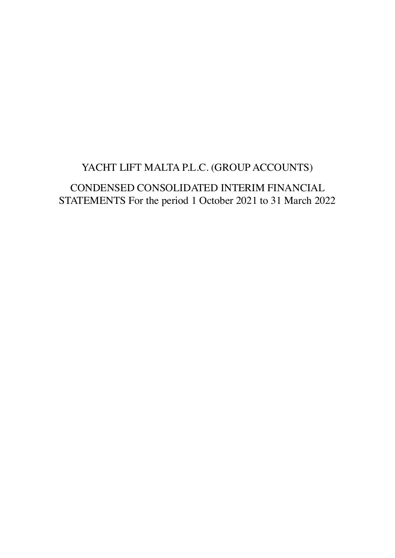# YACHT LIFT MALTA P.L.C. (GROUP ACCOUNTS)

CONDENSED CONSOLIDATED INTERIM FINANCIAL STATEMENTS For the period 1 October 2021 to 31 March 2022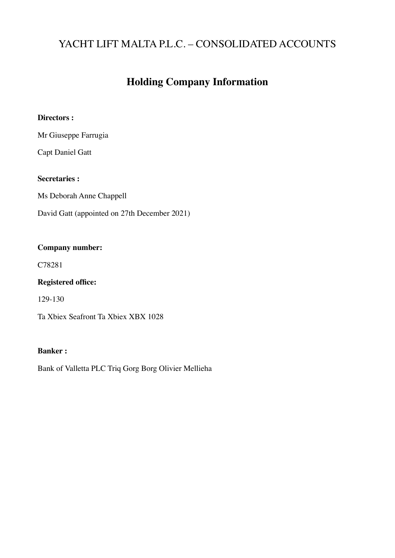# **Holding Company Information**

#### **Directors :**

Mr Giuseppe Farrugia

Capt Daniel Gatt

### **Secretaries :**

Ms Deborah Anne Chappell

David Gatt (appointed on 27th December 2021)

#### **Company number:**

C78281

## **Registered office:**

129-130

Ta Xbiex Seafront Ta Xbiex XBX 1028

#### **Banker :**

Bank of Valletta PLC Triq Gorg Borg Olivier Mellieha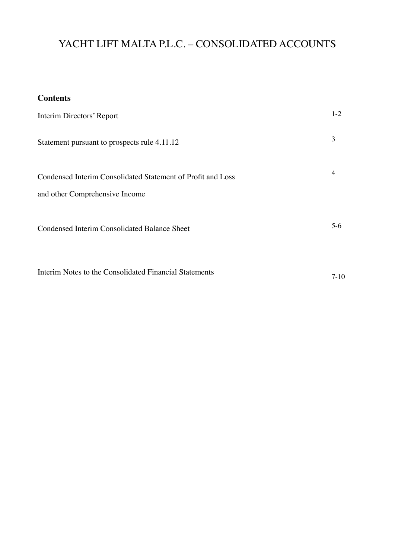## **Contents**

| Interim Directors' Report                                                                     | $1-2$ |
|-----------------------------------------------------------------------------------------------|-------|
| Statement pursuant to prospects rule 4.11.12                                                  | 3     |
| Condensed Interim Consolidated Statement of Profit and Loss<br>and other Comprehensive Income | 4     |
| <b>Condensed Interim Consolidated Balance Sheet</b>                                           | $5-6$ |
|                                                                                               |       |

Interim Notes to the Consolidated Financial Statements 7-10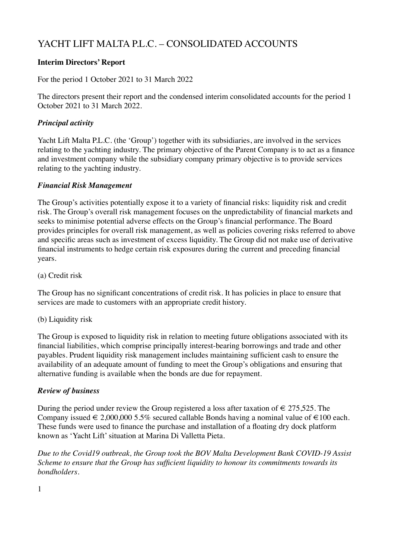### **Interim Directors' Report**

For the period 1 October 2021 to 31 March 2022

The directors present their report and the condensed interim consolidated accounts for the period 1 October 2021 to 31 March 2022.

### *Principal activity*

Yacht Lift Malta P.L.C. (the 'Group') together with its subsidiaries, are involved in the services relating to the yachting industry. The primary objective of the Parent Company is to act as a finance and investment company while the subsidiary company primary objective is to provide services relating to the yachting industry.

#### *Financial Risk Management*

The Group's activities potentially expose it to a variety of financial risks: liquidity risk and credit risk. The Group's overall risk management focuses on the unpredictability of financial markets and seeks to minimise potential adverse effects on the Group's financial performance. The Board provides principles for overall risk management, as well as policies covering risks referred to above and specific areas such as investment of excess liquidity. The Group did not make use of derivative financial instruments to hedge certain risk exposures during the current and preceding financial years.

(a) Credit risk

The Group has no significant concentrations of credit risk. It has policies in place to ensure that services are made to customers with an appropriate credit history.

(b) Liquidity risk

The Group is exposed to liquidity risk in relation to meeting future obligations associated with its financial liabilities, which comprise principally interest-bearing borrowings and trade and other payables. Prudent liquidity risk management includes maintaining sufficient cash to ensure the availability of an adequate amount of funding to meet the Group's obligations and ensuring that alternative funding is available when the bonds are due for repayment.

#### *Review of business*

During the period under review the Group registered a loss after taxation of  $\in 275,525$ . The Company issued  $\in 2,000,000$  5.5% secured callable Bonds having a nominal value of  $\in 100$  each. These funds were used to finance the purchase and installation of a floating dry dock platform known as 'Yacht Lift' situation at Marina Di Valletta Pieta.

*Due to the Covid19 outbreak, the Group took the BOV Malta Development Bank COVID-19 Assist Scheme to ensure that the Group has sufficient liquidity to honour its commitments towards its bondholders.* 

1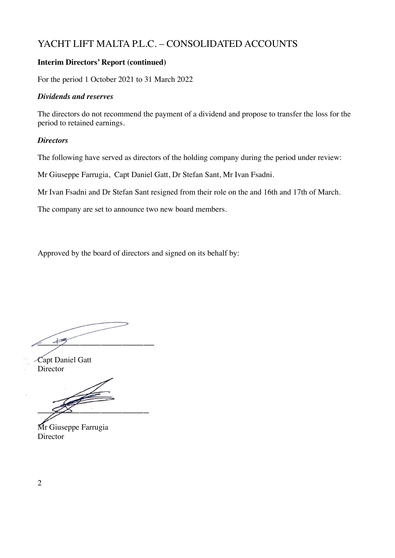### **Interim Directors' Report (continued)**

For the period 1 October 2021 to 31 March 2022

#### *Dividends and reserves*

The directors do not recommend the payment of a dividend and propose to transfer the loss for the period to retained earnings.

#### *Directors*

The following have served as directors of the holding company during the period under review:

Mr Giuseppe Farrugia, Capt Daniel Gatt, Dr Stefan Sant, Mr Ivan Fsadni.

Mr Ivan Fsadni and Dr Stefan Sant resigned from their role on the and 16th and 17th of March.

The company are set to announce two new board members.

Approved by the board of directors and signed on its behalf by:

 $\angle$ 

Capt Daniel Gatt Director

 $\mathscr{Z}$ 

Mr Giuseppe Farrugia Director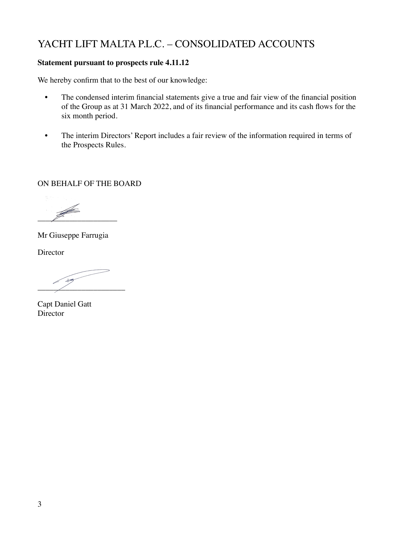### **Statement pursuant to prospects rule 4.11.12**

We hereby confirm that to the best of our knowledge:

- The condensed interim financial statements give a true and fair view of the financial position of the Group as at 31 March 2022, and of its financial performance and its cash flows for the six month period.
- The interim Directors' Report includes a fair review of the information required in terms of the Prospects Rules.

ON BEHALF OF THE BOARD

 $\overline{\mathscr{L}}$ 

Mr Giuseppe Farrugia

**Director** 

 $\overline{\phantom{a}}$  $\overline{\phantom{a}}$   $\overline{\phantom{a}}$   $\overline{\phantom{a}}$   $\overline{\phantom{a}}$   $\overline{\phantom{a}}$   $\overline{\phantom{a}}$   $\overline{\phantom{a}}$   $\overline{\phantom{a}}$   $\overline{\phantom{a}}$   $\overline{\phantom{a}}$   $\overline{\phantom{a}}$   $\overline{\phantom{a}}$   $\overline{\phantom{a}}$   $\overline{\phantom{a}}$   $\overline{\phantom{a}}$   $\overline{\phantom{a}}$   $\overline{\phantom{a}}$   $\overline{\phantom{a}}$   $\overline{\$ 

Capt Daniel Gatt **Director**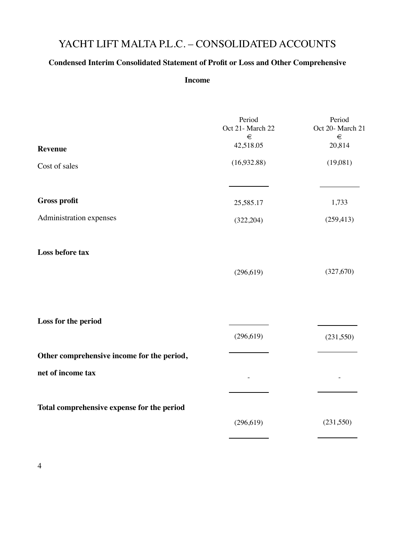## **Condensed Interim Consolidated Statement of Profit or Loss and Other Comprehensive**

#### **Income**

|                                            | Period<br>Oct 21- March 22<br>€ | Period<br>Oct 20- March 21<br>$\in$ |
|--------------------------------------------|---------------------------------|-------------------------------------|
| <b>Revenue</b>                             | 42,518.05                       | 20,814                              |
| Cost of sales                              | (16,932.88)                     | (19,081)                            |
| <b>Gross profit</b>                        | 25,585.17                       | 1,733                               |
| Administration expenses                    | (322, 204)                      | (259, 413)                          |
| Loss before tax                            |                                 |                                     |
|                                            | (296, 619)                      | (327,670)                           |
|                                            |                                 |                                     |
| Loss for the period                        | (296, 619)                      | (231, 550)                          |
| Other comprehensive income for the period, |                                 |                                     |
| net of income tax                          |                                 |                                     |
| Total comprehensive expense for the period |                                 |                                     |
|                                            | (296, 619)                      | (231,550)                           |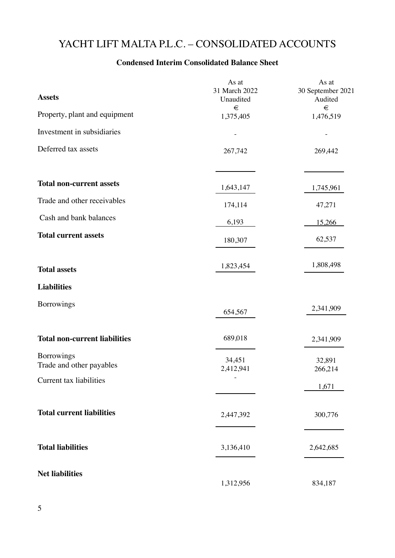## **Condensed Interim Consolidated Balance Sheet**

| <b>Assets</b>                          | As at<br>31 March 2022<br>Unaudited | As at<br>30 September 2021<br>Audited |
|----------------------------------------|-------------------------------------|---------------------------------------|
| Property, plant and equipment          | $\in$<br>1,375,405                  | €<br>1,476,519                        |
| Investment in subsidiaries             |                                     |                                       |
| Deferred tax assets                    | 267,742                             | 269,442                               |
| <b>Total non-current assets</b>        | 1,643,147                           | 1,745,961                             |
| Trade and other receivables            | 174,114                             | 47,271                                |
| Cash and bank balances                 | 6,193                               | 15,266                                |
| <b>Total current assets</b>            | 180,307                             | 62,537                                |
| <b>Total assets</b>                    | 1,823,454                           | 1,808,498                             |
| <b>Liabilities</b>                     |                                     |                                       |
| <b>Borrowings</b>                      | 654,567                             | 2,341,909                             |
| <b>Total non-current liabilities</b>   | 689,018                             | 2,341,909                             |
| Borrowings<br>Trade and other payables | 34,451<br>2,412,941                 | 32,891<br>266,214                     |
| Current tax liabilities                |                                     | 1,671                                 |
| <b>Total current liabilities</b>       | 2,447,392                           | 300,776                               |
| <b>Total liabilities</b>               | 3,136,410                           | 2,642,685                             |
| <b>Net liabilities</b>                 | 1,312,956                           | 834,187                               |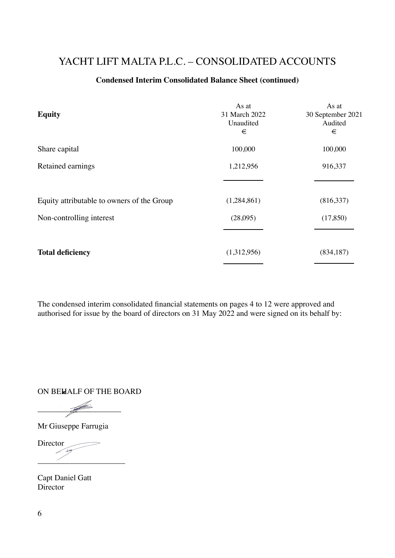### **Condensed Interim Consolidated Balance Sheet (continued)**

| <b>Equity</b>                              | As at<br>31 March 2022<br>Unaudited<br>€ | As at<br>30 September 2021<br>Audited<br>€ |
|--------------------------------------------|------------------------------------------|--------------------------------------------|
| Share capital                              | 100,000                                  | 100,000                                    |
| Retained earnings                          | 1,212,956                                | 916,337                                    |
| Equity attributable to owners of the Group | (1,284,861)                              | (816,337)                                  |
| Non-controlling interest                   | (28,095)                                 | (17, 850)                                  |
| <b>Total deficiency</b>                    | (1,312,956)                              | (834, 187)                                 |

The condensed interim consolidated financial statements on pages 4 to 12 were approved and authorised for issue by the board of directors on 31 May 2022 and were signed on its behalf by:

ON BEHALF OF THE BOARD

 $\frac{1}{\sqrt{2}}$ 

Mr Giuseppe Farrugia

Director  $\overline{\phantom{a}}$  , where  $\overline{\phantom{a}}$ 

Capt Daniel Gatt **Director**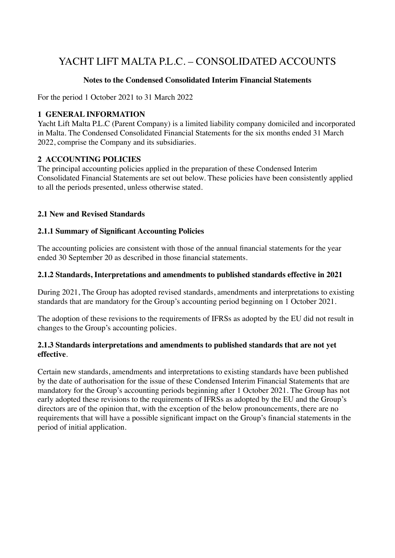#### **Notes to the Condensed Consolidated Interim Financial Statements**

For the period 1 October 2021 to 31 March 2022

#### **1 GENERAL INFORMATION**

Yacht Lift Malta P.L.C (Parent Company) is a limited liability company domiciled and incorporated in Malta. The Condensed Consolidated Financial Statements for the six months ended 31 March 2022, comprise the Company and its subsidiaries.

#### **2 ACCOUNTING POLICIES**

The principal accounting policies applied in the preparation of these Condensed Interim Consolidated Financial Statements are set out below. These policies have been consistently applied to all the periods presented, unless otherwise stated.

#### **2.1 New and Revised Standards**

#### **2.1.1 Summary of Significant Accounting Policies**

The accounting policies are consistent with those of the annual financial statements for the year ended 30 September 20 as described in those financial statements.

#### **2.1.2 Standards, Interpretations and amendments to published standards effective in 2021**

During 2021, The Group has adopted revised standards, amendments and interpretations to existing standards that are mandatory for the Group's accounting period beginning on 1 October 2021.

The adoption of these revisions to the requirements of IFRSs as adopted by the EU did not result in changes to the Group's accounting policies.

#### **2.1.3 Standards interpretations and amendments to published standards that are not yet effective**.

Certain new standards, amendments and interpretations to existing standards have been published by the date of authorisation for the issue of these Condensed Interim Financial Statements that are mandatory for the Group's accounting periods beginning after 1 October 2021. The Group has not early adopted these revisions to the requirements of IFRSs as adopted by the EU and the Group's directors are of the opinion that, with the exception of the below pronouncements, there are no requirements that will have a possible significant impact on the Group's financial statements in the period of initial application.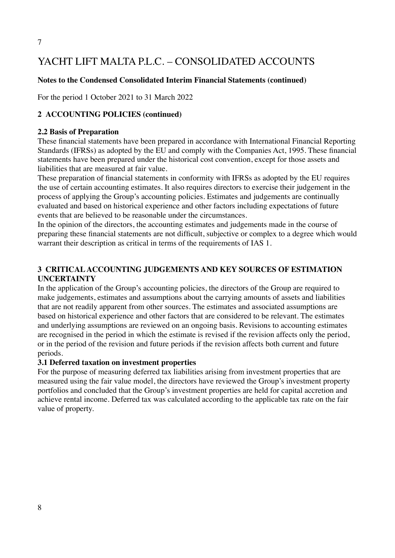#### **Notes to the Condensed Consolidated Interim Financial Statements (continued)**

For the period 1 October 2021 to 31 March 2022

#### **2 ACCOUNTING POLICIES (continued)**

#### **2.2 Basis of Preparation**

These financial statements have been prepared in accordance with International Financial Reporting Standards (IFRSs) as adopted by the EU and comply with the Companies Act, 1995. These financial statements have been prepared under the historical cost convention, except for those assets and liabilities that are measured at fair value.

These preparation of financial statements in conformity with IFRSs as adopted by the EU requires the use of certain accounting estimates. It also requires directors to exercise their judgement in the process of applying the Group's accounting policies. Estimates and judgements are continually evaluated and based on historical experience and other factors including expectations of future events that are believed to be reasonable under the circumstances.

In the opinion of the directors, the accounting estimates and judgements made in the course of preparing these financial statements are not difficult, subjective or complex to a degree which would warrant their description as critical in terms of the requirements of IAS 1.

### **3 CRITICAL ACCOUNTING JUDGEMENTS AND KEY SOURCES OF ESTIMATION UNCERTAINTY**

In the application of the Group's accounting policies, the directors of the Group are required to make judgements, estimates and assumptions about the carrying amounts of assets and liabilities that are not readily apparent from other sources. The estimates and associated assumptions are based on historical experience and other factors that are considered to be relevant. The estimates and underlying assumptions are reviewed on an ongoing basis. Revisions to accounting estimates are recognised in the period in which the estimate is revised if the revision affects only the period, or in the period of the revision and future periods if the revision affects both current and future periods.

#### **3.1 Deferred taxation on investment properties**

For the purpose of measuring deferred tax liabilities arising from investment properties that are measured using the fair value model, the directors have reviewed the Group's investment property portfolios and concluded that the Group's investment properties are held for capital accretion and achieve rental income. Deferred tax was calculated according to the applicable tax rate on the fair value of property.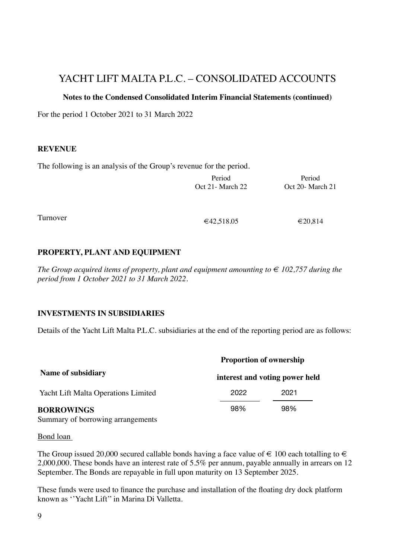#### **Notes to the Condensed Consolidated Interim Financial Statements (continued)**

For the period 1 October 2021 to 31 March 2022

#### **REVENUE**

The following is an analysis of the Group's revenue for the period.

|          | Period<br>Oct 21- March 22        | Period<br>Oct 20- March 21                |
|----------|-----------------------------------|-------------------------------------------|
|          |                                   |                                           |
| Turnover | $\sim$ 40 $\sim$ 40 $\sim$ $\sim$ | $\sim$ $\sim$ $\sim$ $\sim$ $\sim$ $\sim$ |

 $€42,518.05$ 

€20,814

## **PROPERTY, PLANT AND EQUIPMENT**

*The Group acquired items of property, plant and equipment amounting to*  $\epsilon$  102,757 during the *period from 1 October 2021 to 31 March 2022.* 

#### **INVESTMENTS IN SUBSIDIARIES**

Details of the Yacht Lift Malta P.L.C. subsidiaries at the end of the reporting period are as follows:

|      | <b>Proportion of ownership</b> |
|------|--------------------------------|
|      | interest and voting power held |
| 2022 | 2021                           |
| 98%  | 98%                            |
|      |                                |

Summary of borrowing arrangements

#### Bond loan

The Group issued 20,000 secured callable bonds having a face value of  $\in$  100 each totalling to  $\in$ 2,000,000. These bonds have an interest rate of 5.5% per annum, payable annually in arrears on 12 September. The Bonds are repayable in full upon maturity on 13 September 2025.

These funds were used to finance the purchase and installation of the floating dry dock platform known as ''Yacht Lift'' in Marina Di Valletta.